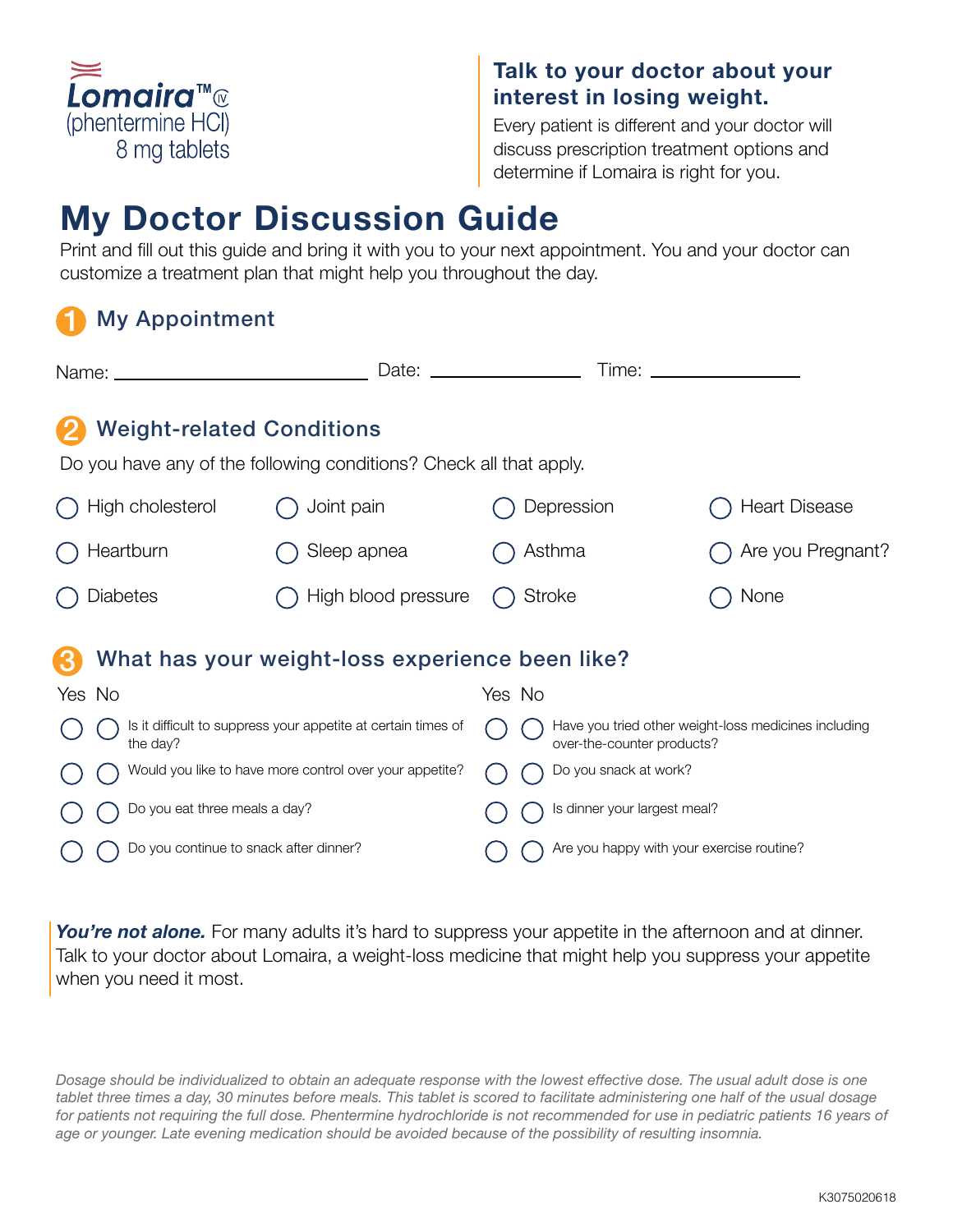

# Talk to your doctor about your interest in losing weight.

Every patient is different and your doctor will discuss prescription treatment options and determine if Lomaira is right for you.

# My Doctor Discussion Guide

Print and fill out this guide and bring it with you to your next appointment. You and your doctor can customize a treatment plan that might help you throughout the day.

#### 1 My Appointment

|                                                                                                        | Date:               | Time: _______________<br><u>and the contract of the contract of the contract of the contract of the contract of the contract of the contract of the contract of the contract of the contract of the contract of the contract of the contract of the contr</u> |                      |
|--------------------------------------------------------------------------------------------------------|---------------------|---------------------------------------------------------------------------------------------------------------------------------------------------------------------------------------------------------------------------------------------------------------|----------------------|
| <b>Weight-related Conditions</b><br>Do you have any of the following conditions? Check all that apply. |                     |                                                                                                                                                                                                                                                               |                      |
| High cholesterol                                                                                       | Joint pain          | Depression                                                                                                                                                                                                                                                    | <b>Heart Disease</b> |
| Heartburn                                                                                              | Sleep apnea         | Asthma                                                                                                                                                                                                                                                        | Are you Pregnant?    |
| Diabetes                                                                                               | High blood pressure | <b>Stroke</b>                                                                                                                                                                                                                                                 | None                 |
| What has your weight-loss experience been like?                                                        |                     |                                                                                                                                                                                                                                                               |                      |
| Yes No                                                                                                 |                     | Yes No                                                                                                                                                                                                                                                        |                      |
| Is it difficult to suppress your appetite at certain times of<br>the day?                              |                     | Have you tried other weight-loss medicines including<br>over-the-counter products?                                                                                                                                                                            |                      |
| Would you like to have more control over your appetite?                                                |                     | Do you snack at work?                                                                                                                                                                                                                                         |                      |
| Do you eat three meals a day?                                                                          |                     | Is dinner your largest meal?                                                                                                                                                                                                                                  |                      |
| Do you continue to snack after dinner?                                                                 |                     | Are you happy with your exercise routine?                                                                                                                                                                                                                     |                      |

You're not alone. For many adults it's hard to suppress your appetite in the afternoon and at dinner. Talk to your doctor about Lomaira, a weight-loss medicine that might help you suppress your appetite when you need it most.

*Dosage should be individualized to obtain an adequate response with the lowest effective dose. The usual adult dose is one tablet three times a day, 30 minutes before meals. This tablet is scored to facilitate administering one half of the usual dosage*  for patients not requiring the full dose. Phentermine hydrochloride is not recommended for use in pediatric patients 16 years of *age or younger. Late evening medication should be avoided because of the possibility of resulting insomnia.*